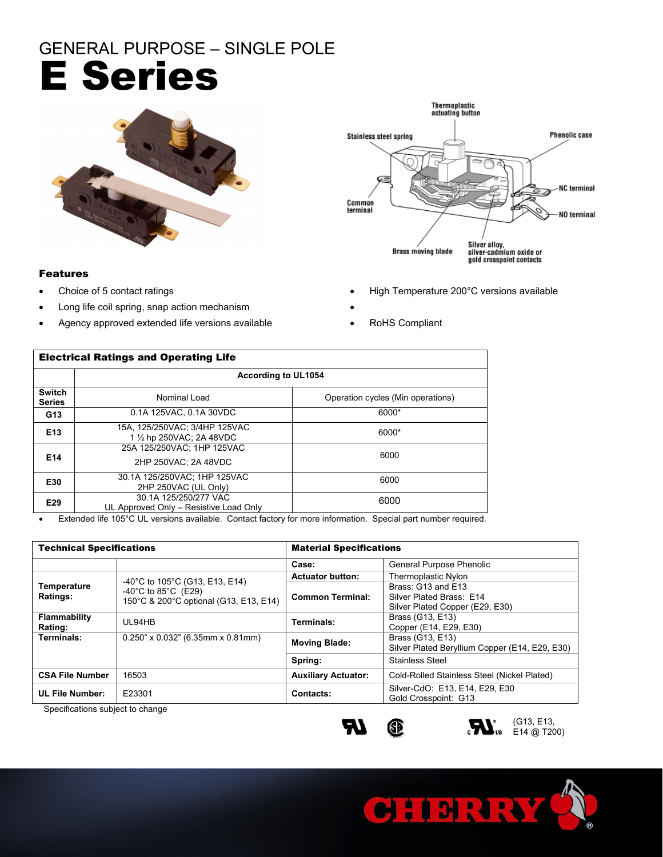## GENERAL PURPOSE – SINGLE POLE E Series



### Features

- 
- Long life coil spring, snap action mechanism
- Agency approved extended life versions available **COM COMP ROHS** Compliant



- Choice of 5 contact ratings **EXECUTE:** The High Temperature 200°C versions available
	-
	-

| <b>Electrical Ratings and Operating Life</b> |                                                                 |                                   |  |  |
|----------------------------------------------|-----------------------------------------------------------------|-----------------------------------|--|--|
|                                              | According to UL1054                                             |                                   |  |  |
| <b>Switch</b><br><b>Series</b>               | Nominal Load                                                    | Operation cycles (Min operations) |  |  |
| G <sub>13</sub>                              | 0.1A 125VAC, 0.1A 30VDC                                         | 6000*                             |  |  |
| E <sub>13</sub>                              | 15A, 125/250VAC; 3/4HP 125VAC<br>1 1/2 hp 250VAC: 2A 48VDC      | 6000*                             |  |  |
| E14                                          | 25A 125/250VAC: 1HP 125VAC<br>2HP 250VAC: 2A 48VDC              | 6000                              |  |  |
| E30                                          | 30.1A 125/250VAC; 1HP 125VAC<br>2HP 250VAC (UL Only)            | 6000                              |  |  |
| E <sub>29</sub>                              | 30.1A 125/250/277 VAC<br>UL Approved Only - Resistive Load Only | 6000                              |  |  |

Extended life 105°C UL versions available. Contact factory for more information. Special part number required.

| <b>Technical Specifications</b>                             |                                                                                                                                           | <b>Material Specifications</b> |                                                                                   |  |
|-------------------------------------------------------------|-------------------------------------------------------------------------------------------------------------------------------------------|--------------------------------|-----------------------------------------------------------------------------------|--|
|                                                             |                                                                                                                                           | Case:                          | General Purpose Phenolic                                                          |  |
| Temperature<br>Ratings:                                     | $-40^{\circ}$ C to 105 $^{\circ}$ C (G13, E13, E14)<br>$-40^{\circ}$ C to 85 $^{\circ}$ C (E29)<br>150°C & 200°C optional (G13, E13, E14) | <b>Actuator button:</b>        | <b>Thermoplastic Nylon</b>                                                        |  |
|                                                             |                                                                                                                                           | <b>Common Terminal:</b>        | Brass: G13 and E13<br>Silver Plated Brass: E14<br>Silver Plated Copper (E29, E30) |  |
| <b>Flammability</b><br>Rating:                              | UL94HB                                                                                                                                    | Terminals:                     | Brass (G13, E13)<br>Copper (E14, E29, E30)                                        |  |
| Terminals:                                                  | $0.250$ " x $0.032$ " (6.35mm x $0.81$ mm)                                                                                                | <b>Moving Blade:</b>           | Brass (G13, E13)<br>Silver Plated Beryllium Copper (E14, E29, E30)                |  |
|                                                             |                                                                                                                                           | Spring:                        | Stainless Steel                                                                   |  |
| <b>CSA File Number</b>                                      | 16503                                                                                                                                     | <b>Auxiliary Actuator:</b>     | Cold-Rolled Stainless Steel (Nickel Plated)                                       |  |
| <b>UL File Number:</b><br>Canadii aatinaa nukinat ta akaana | E23301                                                                                                                                    | Contacts:                      | Silver-CdO: E13, E14, E29, E30<br>Gold Crosspoint: G13                            |  |

Specifications subject to change





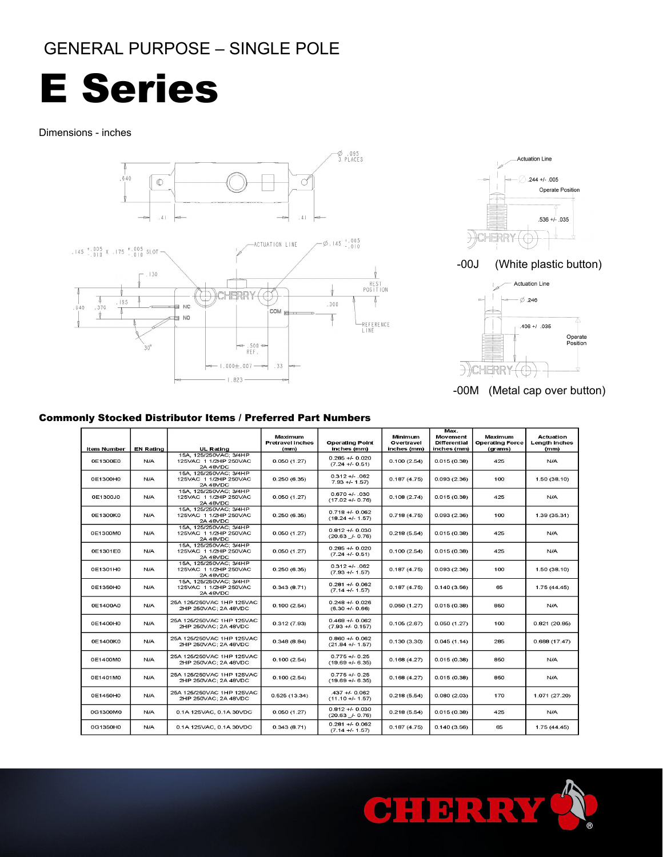## GENERAL PURPOSE – SINGLE POLE

# E Series

### Dimensions - inches





-00J (White plastic button)



-00M (Metal cap over button)

### Commonly Stocked Distributor Items / Preferred Part Numbers

|                    |                  |                                                                    |                                            |                                       |                                      | Max.                                           |                                              |                                                  |
|--------------------|------------------|--------------------------------------------------------------------|--------------------------------------------|---------------------------------------|--------------------------------------|------------------------------------------------|----------------------------------------------|--------------------------------------------------|
| <b>Item Number</b> | <b>EN Rating</b> | <b>UL Rating</b>                                                   | Maximum<br><b>Pretravel inches</b><br>(mm) | <b>Operating Point</b><br>inches (mm) | Minimum<br>Overtravel<br>inches (mm) | Movement<br><b>Differential</b><br>inches (mm) | Maximum<br><b>Operating Force</b><br>(grams) | <b>Actuation</b><br><b>Length inches</b><br>(mm) |
| 0E1300E0           | N/A              | 15A, 125/250VAC; 3/4HP<br>125VAC 1 1/2HP 250VAC<br>2A 48VDC        | 0.050(1.27)                                | $0.285 + 0.020$<br>$(7.24 +1 - 0.51)$ | 0.100(2.54)                          | 0.015(0.38)                                    | 425                                          | N/A                                              |
| 0E1300H0           | <b>N/A</b>       | 15A, 125/250VAC; 3/4HP<br>125VAC 1 1/2HP 250VAC<br>2A 48VDC        | 0.250(6.35)                                | $0.312 + 0.062$<br>$7.93 +/- 1.57$    | 0.187(4.75)                          | 0.093(2.36)                                    | 100                                          | 1.50(38.10)                                      |
| 0E1300J0           | N/A              | 15A, 125/250VAC; 3/4HP<br>125VAC 1 1/2HP 250VAC<br><b>2A 48VDC</b> | 0.050(1.27)                                | $0.670 +/- 0.30$<br>$(17.02 + 0.76)$  | 0.108(2.74)                          | 0.015(0.38)                                    | 425                                          | N/A                                              |
| 0E1300K0           | N/A              | 15A, 125/250VAC; 3/4HP<br>125VAC 1 1/2HP 250VAC<br>2A 48VDC        | 0.250(6.35)                                | $0.718 + 0.062$<br>$(18.24 + 1.57)$   | 0.718 (4.75)                         | 0.093(2.36)                                    | 100                                          | 1.39(35.31)                                      |
| 0E1300M0           | N/A              | 15A, 125/250VAC; 3/4HP<br>125VAC 1 1/2HP 250VAC<br>2A 48VDC        | 0.050(1.27)                                | $0.812 + 0.030$<br>$(20.63 + 0.76)$   | 0.218(5.54)                          | 0.015(0.38)                                    | 425                                          | N/A                                              |
| 0E1301E0           | N/A              | 15A. 125/250VAC: 3/4HP<br>125VAC 1 1/2HP 250VAC<br>2A 48VDC        | 0.050(1.27)                                | $0.285 + 0.020$<br>$(7.24 + 0.51)$    | 0.100(2.54)                          | 0.015(0.38)                                    | 425                                          | N/A                                              |
| 0E1301H0           | N/A              | 15A, 125/250VAC; 3/4HP<br>125VAC 1 1/2HP 250VAC<br>2A 48VDC        | 0.250(6.35)                                | $0.312 + 0.062$<br>$(7.93 +/- 1.57)$  | 0.187(4.75)                          | 0.093(2.36)                                    | 100                                          | 1.50(38.10)                                      |
| 0E1350H0           | N/A              | 15A. 125/250VAC: 3/4HP<br>125VAC 1 1/2HP 250VAC<br><b>2A 48VDC</b> | 0.343(8.71)                                | $0.281 + 0.062$<br>$(7.14 + 1.57)$    | 0.187(4.75)                          | 0.140(3.56)                                    | 65                                           | 1.75(44.45)                                      |
| 0E1400A0           | N/A              | 25A 125/250VAC 1HP 125VAC<br>2HP 250VAC; 2A 48VDC                  | 0.100(2.54)                                | $0.248 + 0.026$<br>$(6.30 +/- 0.66)$  | 0.050(1.27)                          | 0.015(0.38)                                    | 850                                          | N/A                                              |
| 0E1400H0           | N/A              | 25A 125/250VAC 1HP 125VAC<br>2HP 250VAC: 2A 48VDC                  | 0.312(7.93)                                | $0.468 + 0.062$<br>$(7.93 + 0.157)$   | 0.105(2.67)                          | 0.050(1.27)                                    | 100                                          | 0.821(20.85)                                     |
| 0E1400K0           | N/A              | 25A 125/250VAC 1HP 125VAC<br>2HP 250VAC: 2A 48VDC                  | 0.348(8.84)                                | $0.860 + 0.062$<br>$(21.84 +/- 1.57)$ | 0.130(3.30)                          | 0.045(1.14)                                    | 285                                          | 0.688(17.47)                                     |
| 0E1400M0           | N/A              | 25A 125/250VAC 1HP 125VAC<br>2HP 250VAC; 2A 48VDC                  | 0.100(2.54)                                | $0.775 + 0.25$<br>$(19.69 + -6.35)$   | 0.168(4.27)                          | 0.015(0.38)                                    | 850                                          | N/A                                              |
| 0E1401M0           | N/A              | 25A 125/250VAC 1HP 125VAC<br>2HP 250VAC; 2A 48VDC                  | 0.100(2.54)                                | $0.775 + 0.25$<br>$(19.69 + -6.35)$   | 0.168(4.27)                          | 0.015(0.38)                                    | 850                                          | N/A                                              |
| 0E1450H0           | N/A              | 25A 125/250VAC 1HP 125VAC<br>2HP 250VAC; 2A 48VDC                  | 0.525(13.34)                               | $-437 + 0.062$<br>$(11.10 +/- 1.57)$  | 0.218(5.54)                          | 0.080(2.03)                                    | 170                                          | 1.071 (27.20)                                    |
| 0G1300M0           | N/A              | 0.1A 125VAC, 0.1A 30VDC                                            | 0.050(1.27)                                | $0.812 + 0.030$<br>$(20.63 + 0.76)$   | 0.218(5.54)                          | 0.015(0.38)                                    | 425                                          | N/A                                              |
| 0G1350H0           | N/A              | 0.1A 125VAC, 0.1A 30VDC                                            | 0.343(8.71)                                | $0.281 + 0.062$<br>$(7.14 +/- 1.57)$  | 0.187(4.75)                          | 0.140(3.56)                                    | 65                                           | 1.75(44.45)                                      |